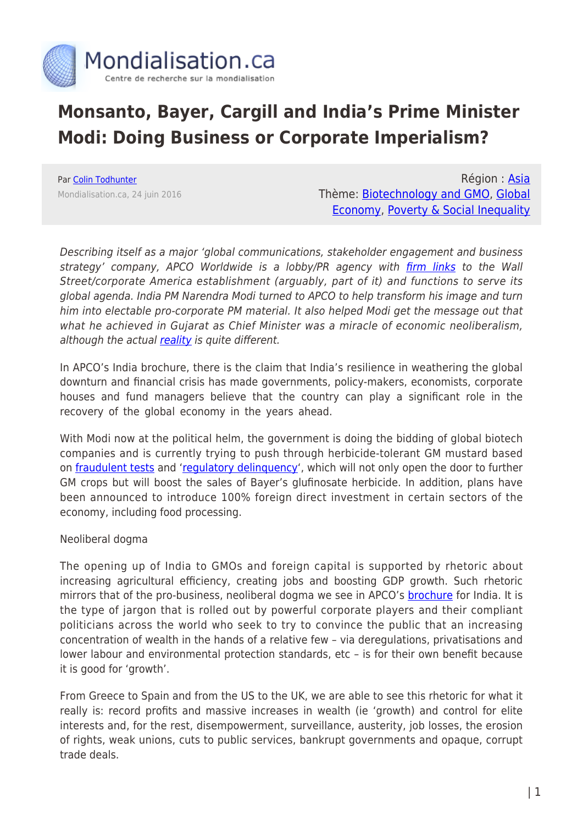

# **Monsanto, Bayer, Cargill and India's Prime Minister Modi: Doing Business or Corporate Imperialism?**

Par [Colin Todhunter](https://www.mondialisation.ca/author/colin-todhunter) Mondialisation.ca, 24 juin 2016

Région : [Asia](https://www.mondialisation.ca/region/asia) Thème: [Biotechnology and GMO](https://www.mondialisation.ca/theme/biotechnology-and-gmo), [Global](https://www.mondialisation.ca/theme/global-economy) [Economy](https://www.mondialisation.ca/theme/global-economy), [Poverty & Social Inequality](https://www.mondialisation.ca/theme/poverty-social-inequality)

Describing itself as a major 'global communications, stakeholder engagement and business strategy' company, APCO Worldwide is a lobby/PR agency with *firm links* to the Wall Street/corporate America establishment (arguably, part of it) and functions to serve its global agenda. India PM Narendra Modi turned to APCO to help transform his image and turn him into electable pro-corporate PM material. It also helped Modi get the message out that what he achieved in Gujarat as Chief Minister was a miracle of economic neoliberalism, although the actual [reality](http://www.countercurrents.org/rh190314.htm) is quite different.

In APCO's India brochure, there is the claim that India's resilience in weathering the global downturn and financial crisis has made governments, policy-makers, economists, corporate houses and fund managers believe that the country can play a significant role in the recovery of the global economy in the years ahead.

With Modi now at the political helm, the government is doing the bidding of global biotech companies and is currently trying to push through herbicide-tolerant GM mustard based on [fraudulent tests](http://indiagminfo.org/?p=1245) and '[regulatory delinquency](http://www.theecologist.org/News/news_analysis/2986674/indias_top_gmo_regulators_contempt_of_court_over_gm_mustard_trials.html)', which will not only open the door to further GM crops but will boost the sales of Bayer's glufinosate herbicide. In addition, plans have been announced to introduce 100% foreign direct investment in certain sectors of the economy, including food processing.

#### Neoliberal dogma

The opening up of India to GMOs and foreign capital is supported by rhetoric about increasing agricultural efficiency, creating jobs and boosting GDP growth. Such rhetoric mirrors that of the pro-business, neoliberal dogma we see in APCO's [brochure](https://ktwop.files.wordpress.com/2013/07/apco-india-brochure.pdf) for India. It is the type of jargon that is rolled out by powerful corporate players and their compliant politicians across the world who seek to try to convince the public that an increasing concentration of wealth in the hands of a relative few – via deregulations, privatisations and lower labour and environmental protection standards, etc – is for their own benefit because it is good for 'growth'.

From Greece to Spain and from the US to the UK, we are able to see this rhetoric for what it really is: record profits and massive increases in wealth (ie 'growth) and control for elite interests and, for the rest, disempowerment, surveillance, austerity, job losses, the erosion of rights, weak unions, cuts to public services, bankrupt governments and opaque, corrupt trade deals.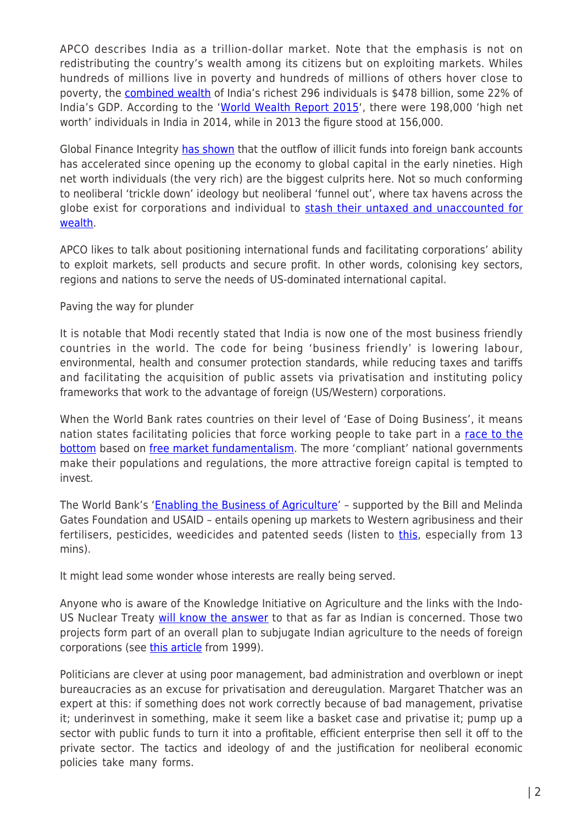APCO describes India as a trillion-dollar market. Note that the emphasis is not on redistributing the country's wealth among its citizens but on exploiting markets. Whiles hundreds of millions live in poverty and hundreds of millions of others hover close to poverty, the [combined wealth](http://www.firstpost.com/business/total-wealth-of-indias-super-rich-tops-uaes-gdp-5-facts-from-hurun-list-2432912.html) of India's richest 296 individuals is \$478 billion, some 22% of India's GDP. According to the ['World Wealth Report 2015'](http://www.ndtv.com/india-news/india-home-to-1-98-lakh-millionaires-world-wealth-report-2015-1217902), there were 198,000 'high net worth' individuals in India in 2014, while in 2013 the figure stood at 156,000.

Global Finance Integrity [has shown](http://www.gfintegrity.org/report/country-case-study-india/) that the outflow of illicit funds into foreign bank accounts has accelerated since opening up the economy to global capital in the early nineties. High net worth individuals (the very rich) are the biggest culprits here. Not so much conforming to neoliberal 'trickle down' ideology but neoliberal 'funnel out', where tax havens across the globe exist for corporations and individual to [stash their untaxed and unaccounted for](https://www.youtube.com/watch?v=TPHlhzRSEnw) [wealth](https://www.youtube.com/watch?v=TPHlhzRSEnw).

APCO likes to talk about positioning international funds and facilitating corporations' ability to exploit markets, sell products and secure profit. In other words, colonising key sectors, regions and nations to serve the needs of US-dominated international capital.

## Paving the way for plunder

It is notable that Modi recently stated that India is now one of the most business friendly countries in the world. The code for being 'business friendly' is lowering labour, environmental, health and consumer protection standards, while reducing taxes and tariffs and facilitating the acquisition of public assets via privatisation and instituting policy frameworks that work to the advantage of foreign (US/Western) corporations.

When the World Bank rates countries on their level of 'Ease of Doing Business', it means nation states facilitating policies that force working people to take part in a [race to the](https://www.popularresistance.org/groups-oppose-world-banks-doing-business-rankings/) [bottom](https://www.popularresistance.org/groups-oppose-world-banks-doing-business-rankings/) based on [free market fundamentalism](http://standardtimespress.org/?p=5579). The more 'compliant' national governments make their populations and regulations, the more attractive foreign capital is tempted to invest.

The World Bank's ['Enabling the Business of Agriculture'](http://www.worldbank.org/en/news/press-release/2016/01/28/agribusiness-rules-lag-in-agriculture-dependent-countries) - supported by the Bill and Melinda Gates Foundation and USAID – entails opening up markets to Western agribusiness and their fertilisers, pesticides, weedicides and patented seeds (listen to *this*, especially from 13 mins).

It might lead some wonder whose interests are really being served.

Anyone who is aware of the Knowledge Initiative on Agriculture and the links with the Indo-US Nuclear Treaty [will know the answer](http://projectcensored.org/8-kia-the-us-neoliberal-invasion-of-india/) to that as far as Indian is concerned. Those two projects form part of an overall plan to subjugate Indian agriculture to the needs of foreign corporations (see [this article](https://www.theguardian.com/environment/1999/jun/19/food.food?CMP=share_btn_tw) from 1999).

Politicians are clever at using poor management, bad administration and overblown or inept bureaucracies as an excuse for privatisation and dereugulation. Margaret Thatcher was an expert at this: if something does not work correctly because of bad management, privatise it; underinvest in something, make it seem like a basket case and privatise it; pump up a sector with public funds to turn it into a profitable, efficient enterprise then sell it off to the private sector. The tactics and ideology of and the justification for neoliberal economic policies take many forms.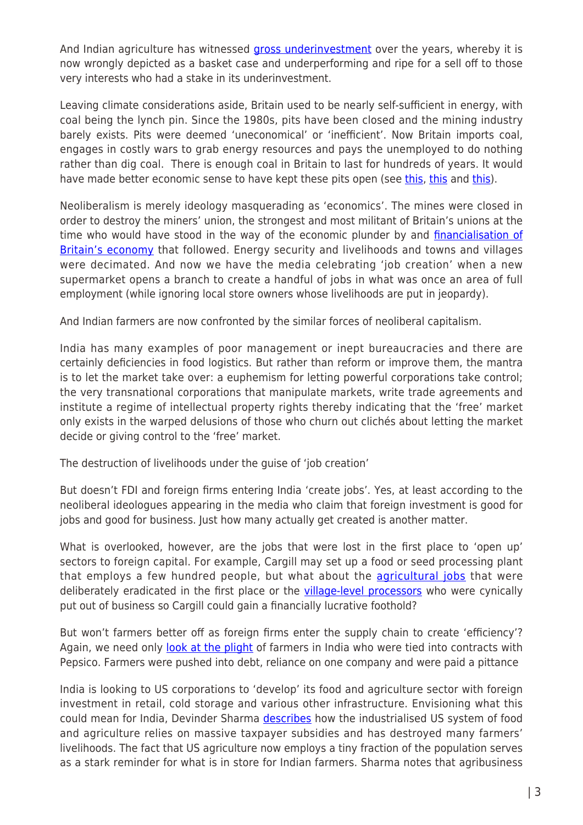And Indian agriculture has witnessed [gross underinvestment](http://www.globalresearch.ca/capitalisms-great-indian-con-trick-feeding-the-economic-vultures-while-starving-agriculture/5435938) over the years, whereby it is now wrongly depicted as a basket case and underperforming and ripe for a sell off to those very interests who had a stake in its underinvestment.

Leaving climate considerations aside, Britain used to be nearly self-sufficient in energy, with coal being the lynch pin. Since the 1980s, pits have been closed and the mining industry barely exists. Pits were deemed 'uneconomical' or 'inefficient'. Now Britain imports coal, engages in costly wars to grab energy resources and pays the unemployed to do nothing rather than dig coal. There is enough coal in Britain to last for hundreds of years. It would have made better economic sense to have kept these pits open (see [this](https://www.youtube.com/watch?v=sZvszXGlni4&list=PL47CD1AB72DAFCC34&index=5), this and this).

Neoliberalism is merely ideology masquerading as 'economics'. The mines were closed in order to destroy the miners' union, the strongest and most militant of Britain's unions at the time who would have stood in the way of the economic plunder by and *financialisation of* [Britain's economy](http://www.globalresearch.ca/the-2015-british-general-election-capitalisms-one-horse-race/5442040) that followed. Energy security and livelihoods and towns and villages were decimated. And now we have the media celebrating 'job creation' when a new supermarket opens a branch to create a handful of jobs in what was once an area of full employment (while ignoring local store owners whose livelihoods are put in jeopardy).

And Indian farmers are now confronted by the similar forces of neoliberal capitalism.

India has many examples of poor management or inept bureaucracies and there are certainly deficiencies in food logistics. But rather than reform or improve them, the mantra is to let the market take over: a euphemism for letting powerful corporations take control; the very transnational corporations that manipulate markets, write trade agreements and institute a regime of intellectual property rights thereby indicating that the 'free' market only exists in the warped delusions of those who churn out clichés about letting the market decide or giving control to the 'free' market.

The destruction of livelihoods under the guise of 'job creation'

But doesn't FDI and foreign firms entering India 'create jobs'. Yes, at least according to the neoliberal ideologues appearing in the media who claim that foreign investment is good for jobs and good for business. Just how many actually get created is another matter.

What is overlooked, however, are the jobs that were lost in the first place to 'open up' sectors to foreign capital. For example, Cargill may set up a food or seed processing plant that employs a few hundred people, but what about the **[agricultural jobs](http://www.counterpunch.org/2016/03/11/palm-oil-and-gm-mustard-a-marriage-made-in-hell/)** that were deliberately eradicated in the first place or the [village-level processors](http://seedfreedom.info/satyagraha-for-gandhis-ghani/) who were cynically put out of business so Cargill could gain a financially lucrative foothold?

But won't farmers better off as foreign firms enter the supply chain to create 'efficiency'? Again, we need only [look at the plight](https://bharatabharati.wordpress.com/2013/12/22/pepsico-the-wrong-choice-baby-vandana-shiva/) of farmers in India who were tied into contracts with Pepsico. Farmers were pushed into debt, reliance on one company and were paid a pittance

India is looking to US corporations to 'develop' its food and agriculture sector with foreign investment in retail, cold storage and various other infrastructure. Envisioning what this could mean for India, Devinder Sharma [describes](http://devinder-sharma.blogspot.co.uk/2012/09/from-pepsico-to-wal-mart-selling-fake.html) how the industrialised US system of food and agriculture relies on massive taxpayer subsidies and has destroyed many farmers' livelihoods. The fact that US agriculture now employs a tiny fraction of the population serves as a stark reminder for what is in store for Indian farmers. Sharma notes that agribusiness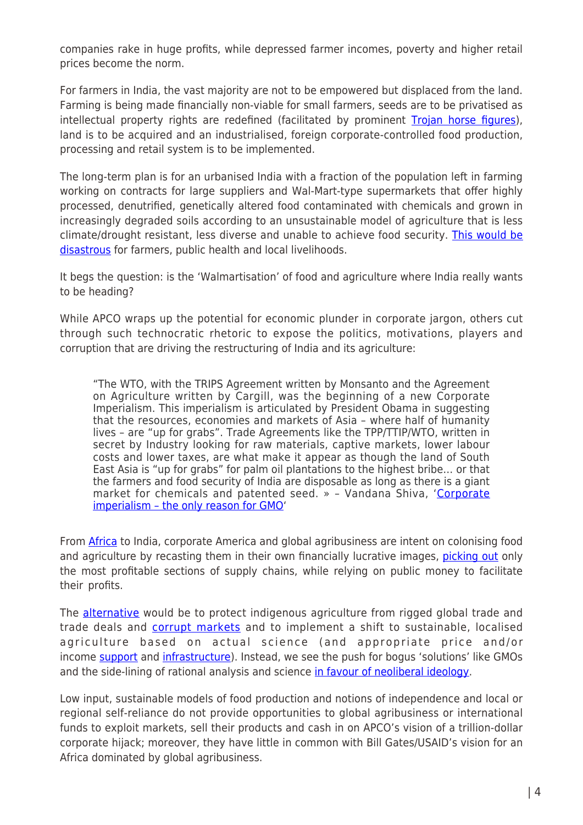companies rake in huge profits, while depressed farmer incomes, poverty and higher retail prices become the norm.

For farmers in India, the vast majority are not to be empowered but displaced from the land. Farming is being made financially non-viable for small farmers, seeds are to be privatised as intellectual property rights are redefined (facilitated by prominent [Trojan horse figures\)](http://timesofindia.indiatimes.com/india/Modis-chief-economic-adviser-Arvind-Subramanian-had-opposed-India-on-IPR-till-recently/articleshow/44929094.cms?from=mdr), land is to be acquired and an industrialised, foreign corporate-controlled food production, processing and retail system is to be implemented.

The long-term plan is for an urbanised India with a fraction of the population left in farming working on contracts for large suppliers and Wal-Mart-type supermarkets that offer highly processed, denutrified, genetically altered food contaminated with chemicals and grown in increasingly degraded soils according to an unsustainable model of agriculture that is less climate/drought resistant, less diverse and unable to achieve food security. [This would be](http://www.theecologist.org/essays/2987501/india_obesity_malnutrition_and_the_globalisation_of_bad_food.html) [disastrous](http://www.theecologist.org/essays/2987501/india_obesity_malnutrition_and_the_globalisation_of_bad_food.html) for farmers, public health and local livelihoods.

It begs the question: is the 'Walmartisation' of food and agriculture where India really wants to be heading?

While APCO wraps up the potential for economic plunder in corporate jargon, others cut through such technocratic rhetoric to expose the politics, motivations, players and corruption that are driving the restructuring of India and its agriculture:

"The WTO, with the TRIPS Agreement written by Monsanto and the Agreement on Agriculture written by Cargill, was the beginning of a new Corporate Imperialism. This imperialism is articulated by President Obama in suggesting that the resources, economies and markets of Asia – where half of humanity lives – are "up for grabs". Trade Agreements like the TPP/TTIP/WTO, written in secret by Industry looking for raw materials, captive markets, lower labour costs and lower taxes, are what make it appear as though the land of South East Asia is "up for grabs" for palm oil plantations to the highest bribe… or that the farmers and food security of India are disposable as long as there is a giant market for chemicals and patented seed. » – Vandana Shiva, '[Corporate](http://vandanashiva.com/?p=358) [imperialism – the only reason for GMO'](http://vandanashiva.com/?p=358)

From [Africa](http://www.globaljustice.org.uk/sites/default/files/files/resources/gated-development-global-justice-now.pdf) to India, corporate America and global agribusiness are intent on colonising food and agriculture by recasting them in their own financially lucrative images, [picking out](http://www.globalresearch.ca/empire-and-colonialism-rich-men-in-london-still-deciding-africas-future/5438889) only the most profitable sections of supply chains, while relying on public money to facilitate their profits.

The [alternative](http://www.theecologist.org/essays/2987346/resisting_the_corporate_stranglehold_on_food_and_farming_is_agroecology_enough.html) would be to protect indigenous agriculture from rigged global trade and trade deals and [corrupt markets](http://www.washingtonsblog.com/2016/04/big-bank-admits-manipulating-gold-silver-prices.html) and to implement a shift to sustainable, localised agriculture based on actual science (and appropriate price and/or income [support](http://devinder-sharma.blogspot.co.uk/2016/03/it-is-denial-of-legitimate-income-that.html) and [infrastructure\)](http://indiatogether.org/mandi-op-ed). Instead, we see the push for bogus 'solutions' like GMOs and the side-lining of rational analysis and science [in favour of neoliberal ideology](http://www.theecologist.org/blogs_and_comments/commentators/2858527/the_devil_in_disguise_unmasking_the_humanitarian_gmo_narrative.html).

Low input, sustainable models of food production and notions of independence and local or regional self-reliance do not provide opportunities to global agribusiness or international funds to exploit markets, sell their products and cash in on APCO's vision of a trillion-dollar corporate hijack; moreover, they have little in common with Bill Gates/USAID's vision for an Africa dominated by global agribusiness.